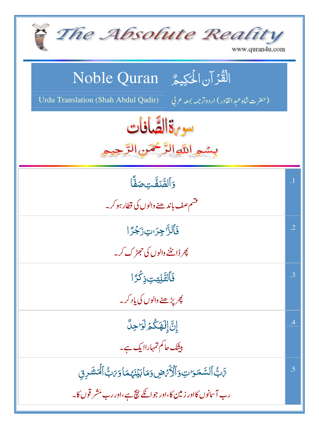| The Absolute Reality<br>www.quran4u.com                                                                                                  |            |
|------------------------------------------------------------------------------------------------------------------------------------------|------------|
| الْقُرْآن الْحَكِيمُ Noble Quran<br>Urdu Translation (Shah Abdul Qadir)<br>(حضرت شاه عبد القادر) اردوتر جمه بمعه عربي                    |            |
| سورةالصَّافات<br>بسمع اللآوالرَّحْمَنِ الرَّ                                                                                             |            |
| وألقّتفّت صَفّاً<br>فشم صف بإند ھنے والوں کی قطار ہو کر ۔                                                                                | $\cdot$ 1  |
| فَأَلَزَّاجِرَاتِ زَجْرًا<br><u>ک</u> ھر ڈاننٹے والوں کی حجھڑ ک کر۔                                                                      | $\cdot$ .2 |
| فَٱلتَّلِيَتِ ذِكْرًا<br>پھر پڑھنے والوں کی یاد کر۔                                                                                      | .3         |
| إِنَّ إِلَهَكُمُ لَوَاجِلٌ<br>بیثک حاکم تمہاراایک ہے۔                                                                                    | .4         |
| سَّبُّ ٱلسَّمَوَاتِ وَٱلْأَمَّصِ وَمَا بَيۡنَهُمَا وَىَبُّ ٱلۡمَشَرِقِ<br>رب آسانوں کااور زمین کا،اور جو انکے نیچ ہے،اور رب مَشر قوں کا۔ | .5         |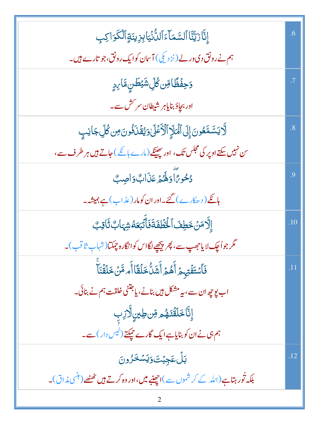| إِنَّارَيَّنَّا ٱلسَّمَآءَٱللُّنۡيَابِزِينَةٍٱلۡكَرَاكِبِ                                | .6             |
|------------------------------------------------------------------------------------------|----------------|
| ہم نے رونق دی در لے (نز دیکی) آسان کوایک رونق،جو تارے ہیں۔                               |                |
| <mark>ۯڿڡؘؙۛڟ</mark> ٗٵڡؚؚۜڽڴڸؚۺ <i>ؿڟ</i> ڹۣڡۜٞٳ <sub>؆ؚڋۣ</sub>                        | $\cdot$ 7      |
| اور بجاد <sub>ً</sub> بنایاهر شیطان سر کش سے۔                                            |                |
| ڷۜٲؾڛۜۧڡۜڂۏڹٙٳ۪ڸٙٱڶؖؠؘٳٙٳٱڷػۿڶٳۏؽؚڨۘ۬ڹؘۏۢۏڹؘۻۣڴڸۜڿٳڹڹؚ                                   | $\overline{8}$ |
| س نہیں سکتے اوپر کی مجلس تک، اور جھینکے (مارے ہانگے ) جاتے ہیں ہر طرف سے،                |                |
| دُحُوِرًاً وَلَهُمْ عَذَابٌ وَاصِبٌ                                                      | .9             |
| ہائکے ( د ھکارے ) گئے۔اور ان کومار ( عذ اب ) ہے ہمیشہ۔                                   |                |
| إِلَّامَنۡ خَطِفَ ٱلۡخَطۡفَةَ ۖ فَأَتۡبَعَهُ شِهَابٌ ثَاٰقِبٌ                            | .10            |
| مگر جواُچک لایاحصِپ سے، پھر پیچھیے لگااس کوانگارہ چمکتا(شہابِ ثاقب)۔                     |                |
| ڣؘٱ <i>ۺؘ</i> ٙؿؘڡۡؾؠڝۡ أَهُمۡ أَشَلُّ خَلۡقَاۤ أَم مَّنۡ خَلَقۡنَآ                      | .11            |
| اب پوچھ ان سے، بہ مشکل ہیں بنانے، یاجتنی خلقت ہم نے بنائی۔                               |                |
| ٳ۪ڹؖ۠ٵؘڂڶڨؘٮٙۿؙ <sub>ڡڔ</sub> ڡؚؚۜٞڽ؈ڸڗڶۯڹؚ                                              |                |
| ہم ہی نے ان کو بنایاہے ایک گارے <i>چیکتے (لیس دار</i> ) سے۔                              |                |
| <u>ڹڵ؏ؼڹ۬ؾؘۅؘ</u> ؾۺڂۯۅڹ                                                                 | .12            |
| بلکہ تُور ہتاہے(اللہ کے کر شموں سے )اچھنبے <b>میں،اور وہ کرتے ہیں</b> تھٹھے(مہنمی مذاق)۔ |                |
|                                                                                          |                |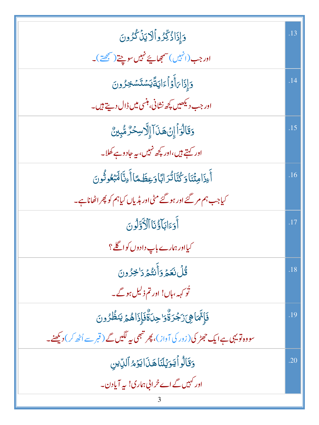| وَإِذَاذُكِّرُواُلَايَنْ كُرُونَ                                                           | .13 |
|--------------------------------------------------------------------------------------------|-----|
| اور جب(انہیں)سمجھاپئے نہیں سوچتے(سمجھتے)۔                                                  |     |
| دَإِذَا <i>بَ</i> أَوۡاۡءَايَةَۚيَسۡتَسۡنَحِرُونَ                                          | .14 |
| اور جب دیکھیں کچھ نشانی، ہنسی میں ڈال دیتے ہیں۔                                            |     |
| وَقَالُوَاْ إِنْ هَذَآ إِلَّاسِحۡرٌ مُّبِينٌ                                               | .15 |
| اور کہتے ہیں،اور کچھ نہیں، یہ جادو ہے کھلا۔                                                |     |
| أَءِذَامِثۡنَاوَكُنَّانُّدَابَّاوَعِظَمَّاأَءِنَّالَهَبۡعُونُونَ                           | .16 |
| کیاجب ہم مر گئے اور ہو گئے مٹی اور ہڈیاں کیاہم کو پھر اٹھاناہے۔                            |     |
| أَدَءَابَأَؤُنَا ٱلْأَوَّلُونَ                                                             | .17 |
| کیااور ہمارے باپ دادوں کواگلے؟                                                             |     |
| <u>ڟؙڵڹۼؽۊٲۜڹؾ۠ؽڗٳڿڒۅڹ</u>                                                                 | .18 |
| ٹو <sub>ک</sub> ہہ،ہاں! اور تم ذ <sup>لی</sup> ل ہو گے۔                                    |     |
| فَإِنَّمَاهِىَزَجْرَةٌوَاحِدَةٌّفَإِذَاهُمَّ يَنظُرُونَ                                    | .19 |
| سووہ تو یہی ہے ایک حجمڑ کی( زور کی آواز )، پھر تبھی پیر لگیں گے ( قبر سے اُٹھ کر ) دیکھنے۔ |     |
| وَقَالُواً يَوَيُلَنَاهَنَ ايَوَمُّ ٱلدِّين                                                | .20 |
| اور کہیں گے اے خرابی ہماری! یہ آیادن۔                                                      |     |
|                                                                                            |     |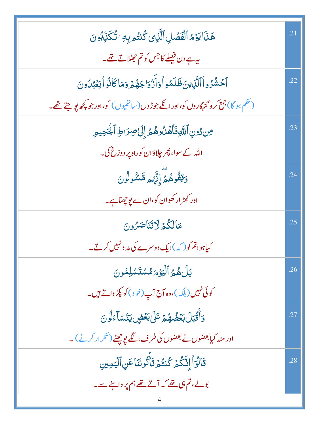| هَذَا يَوۡمُ ٱلۡفَصَٰلِ ٱلَّذِى كُنتُم بِهِۦ تُكَذِّبُونَ                                 | .21 |
|-------------------------------------------------------------------------------------------|-----|
| یہ ہے دن فیصلے کا جس کو تم حی <sub>طلا</sub> تے تھے۔                                      |     |
|                                                                                           |     |
| ٱخشُرُواۡٱلَّٰٓنِينَظَلَمُواۡوَأَزۡوَاجَهُمۡ وَمَاكَانُواۡيَعۡبُلُونَ                     | .22 |
| (حَكَمٍ ہُو گا) جمع کر و گنہگاروں کو،اور انکے جو ڑوں (ساتھیوں ) کو،اور جو پچھ پو جتے تھے۔ |     |
| مِندُونِ ٱللَّهِفَأَهُلُوهُمَّ إِلَىٰ صِرَاطِ ٱلْجَحِيمِ                                  | .23 |
| اللہ کے سوا، پھر چلاؤان کوراہ پر دوزخ کی۔                                                 |     |
| وَقِفُوهُمَّ إِنَّهُم مَّسْمُولُونَ                                                       | .24 |
| اور کھڑ ار کھوان کو،ان سے پوچھناہے۔                                                       |     |
| مَالْكُمْ لَاتَنَاصَرُونَ                                                                 | .25 |
| کیاہواتم کو( کہ )ایک دوسرے کی مد دنہیں کرتے۔                                              |     |
| بَلْ هُمُّ ٱلۡيَوۡمَ مُسۡتَسۡلِمُونَ                                                      | .26 |
| کوئی نہیں(بلکہ)،وہ آج آپ(خود)کو پکڑ داتے ہیں۔                                             |     |
| وَأَقَّبَلَ بَعُضُهُمْ عَلَىٰ بَعۡضٍ يَتَسَآءَلُونَ                                       | .27 |
| اور منہ کیابعضوں نے بعضوں کی طرف، لگے پوچھنے ( تکر ار کرنے ) ۔                            |     |
| قَالُوَاۡۤ إِنَّكُمۡ كُنتُمۡ تَأۡ تُونَنَا عَنِ ٱلۡيَمِينِ                                | .28 |
| بولے، تم ہی تھے کہ آتے تھے ہم پر داننے سے۔                                                |     |
|                                                                                           |     |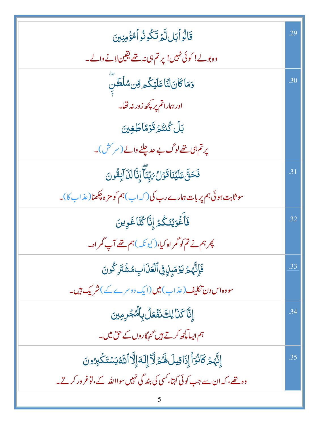| قَالُواۡبَلِلَّٰٓدَ تَكُونُواۡلُّهُۚۚ مِنِينَ                                     | .29 |
|-----------------------------------------------------------------------------------|-----|
| وہ بولے! کوئی نہیں! پر تم ہی نہ تھے یقین لانے والے۔                               |     |
| وَمَاكَانَ لَنَاعَلَيْكُمْ مِّن سُلْطَنِّ                                         | .30 |
| اور ہماراتم پر پچھ زور نہ تھا۔                                                    |     |
| بَلۡ كُنتُمۡ قَوۡمًا طَغِينَ                                                      |     |
| پرتم ہی تھے لوگ بے حدیلنے والے (سر کش)۔                                           |     |
| فَحَقَّ عَلَيۡنَاقَوۡلُ مَبِّنَآ إِنَّالَدَاۤ إِقُونَ                             | .31 |
| سو ثابت ہوئی ہم پر بات ہمارے رب کی ( کہ اب ) ہم کو مز ہ چکھنا( عذ اب کا )۔        |     |
| فَأَغْوَيُنَكُمُ إِنَّا كُنَّاغَوِينَ                                             | .32 |
| پھر ہم نے تم کو گمر اہ کیا، (کیونکہ ) ہم تھے آپ گمر اہ۔                           |     |
| فَإِنَّهُمُ يَوۡمَبِنِ فِى ٱلۡعَٰٓذَابِ مُشۡنَرِ كُونَ                            | .33 |
| سووہ اس دن تکلیف (عذاب) میں (ایک دوسرے کے ) شریک ہیں۔                             |     |
| إِنَّا كَذَا لِكَ نَفْعَلُ بِٱلْدُجُرِمِينَ                                       | .34 |
| ہم ایسا کچھ کرتے ہیں گنہگاروں کے حق میں۔                                          |     |
| إِنَّهُمۡ كَانُوَاۡۖ إِذَاقِيلَ لَهُمۡ لَآٓ إِلَٰٓ إِلَّا ٱللَّهُ يَسۡتَكۡبِرُونَ | .35 |
| وہ تھے، کہ ان سے جب کوئی کہتا، کسی کی بند گی نہیں سوااللہ کے، توغرور کرتے۔        |     |
| C                                                                                 |     |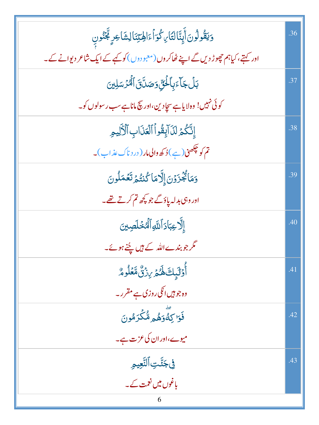| وَيَقُولُونَ أَبِنَّالتَا بِكُوَاْءَالِهِتِنَالِشَاعِرٍ تَجَنُونِ               | .36 |
|---------------------------------------------------------------------------------|-----|
| اور کہتے،کیاہم چھوڑ دیں گے اپنے ٹھاکروں(معبو دوں) کو کہے کے ایک شاعر دیوانے کے۔ |     |
| بَلۡ جَآءَبِٱلۡئِیِّ وَصَدَّنَ ٱلۡمُرۡسَلِینَ                                   | .37 |
| کوئی نہیں! وہ لایاہے سچادین،اور سچ ماناہے سب رسولوں کو۔                         |     |
| إِنَّكُمُ لَلَا آبِقُواْ ٱلْعَذَابِ ٱلْأَلِيمِ                                  | .38 |
| تم کو چکھن(ہے)ڈ کھ والی مار ( در د ناک عذاب)۔                                   |     |
| وَمَاتُجُزَوۡنَ إِلَّا مَا كُنتُمۡ تَعۡمَلُونَ                                  | .39 |
| اور وہی بدلہ پاؤ گے جو کچھ تم کرتے تھے۔                                         |     |
| ٳڵ <b>ؖڒ</b> ؏ڹٲۮٲڷڶ <i>ڐ</i> ۪ٲڵۘ <i>ٞڰڂ</i> ڷڝێؽ                              | .40 |
| گر جو بندےاللہ کے ہیں چُنے ہوئے۔                                                |     |
| أَوْلَيْكَ هُمْ يِنْنٌ مَّعُلُومٌ                                               | .41 |
| وہ جو ہیں انکی روزی ہے مقرر۔                                                    |     |
| فَوَا كِةًوَهُمْ مُّكَرَمُونَ                                                   | .42 |
| میوے،اور ان کی عزت ہے۔                                                          |     |
| في جَنَّتِ ٱلتَّعِيمِ                                                           | .43 |
| یاغوں میں نعمت کے ۔                                                             |     |
| 6                                                                               |     |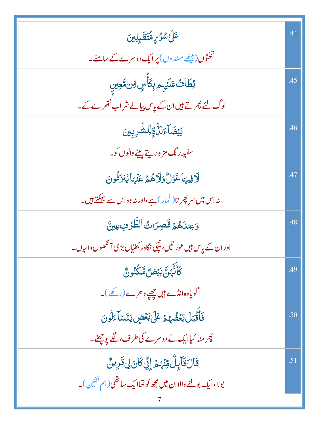| عَلَىٰ <i>شُرُّ بِ مُّتَقَبِلِينَ</i>                                              |     |
|------------------------------------------------------------------------------------|-----|
| تختوں( بیٹھے مندوں) پرایک دوسرے کے سامنے۔                                          |     |
| ؽڟؘاٮٛ۠ٵؘؽٙۑ۪ۄۑؚػٲؘڛٟ؋ؚڹۥ۠ٙۼڛ                                                      | .45 |
| لوگ لئے پھرتے ہیں ان کے پاس پیالے شراب نتھرے کے۔                                   |     |
| <b>بَيۡضَآءَلَ</b> ٱوَٰلِلۡشَّرِبِينَ                                              | .46 |
| سفید رنگ مز ہ دیتے پینے والوں کو۔                                                  |     |
| لَافِيهَا غَوْلُ وَلَاهُمْ عَنْهَا يُنزَفُونَ                                      | .47 |
| نہ اس میں سرپھر تا( <sub>ٹھم</sub> ار) ہے،اور نہ وہ اس سے بہ <del>یک</del> تے ہیں۔ |     |
| وَعِندَهُمْ قَصِرَاتُ ٱلطَّرُفِ عِينٌ                                              | .48 |
| اور ان کے پاس ہیں عور تیں، نیچی نگاہ رکھتیاں بڑی آنکھوں والیاں۔                    |     |
| ؘػٲٮ۠ <sub>ٵ</sub> ۠ <i>؋</i> ڹؖٞۥڹؽؚۻ <i>ؽ۠</i> ۿۜػۘٮؙ۬ٶڽ۠                        | .49 |
| گویادہ انڈے ہیں چھپے د حرے (رکھے)۔                                                 |     |
| فَأَقْبَلَ بَعُضُهُمْ عَلَىٰ بَعُضٍ يَتَسَآءَلُونَ                                 | .50 |
| پھر منہ کیاایک نے دوسرے کی طرف، لگے پوچھنے۔                                        |     |
| قَالَ قَآبِلٌ وِّنْهُمْ إِنِّى كَانَ لِي قَرِينٌ                                   | .51 |
| بولا،ایک بولنے والاا <b>ن میں مجھ کو تھاایک سائقی(جم نشین)۔</b>                    |     |
|                                                                                    |     |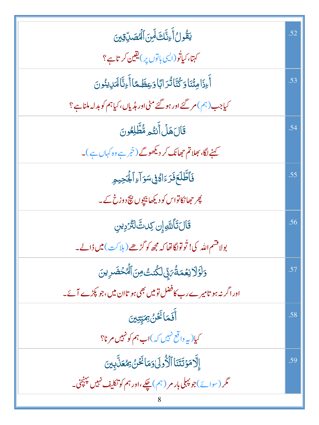| يَقُولُ أَءِنَّكَ لَمِنَ ٱلْمُصَلِّةِينَ                          | .52 |
|-------------------------------------------------------------------|-----|
| کہتا، کیاتُو(ای <sub>ک با</sub> توں پر)یقین کر تاہے؟              |     |
| أَءِذَامِثۡنَاوَكُنَّاتُرَابَاوَعِظَمَّاأَءِنَّالَمَٰٓلِيُنُونَ   | .53 |
| کیاجب (ہم) مر گئے اور ہو گئے مٹی اور ہڈیاں، کیاہم کو بدلہ ملناہے؟ |     |
| قَالَهَلُأَنتُمِ مُّطَّلِعُونَ                                    | .54 |
| کہنے لگا، بھلاتم حجھانک کر دیکھوگے (خمر ہے وہ کہاں ہے )۔          |     |
| فَأَطَّلَعَ فَرَءَاءُ فِى سَوَ آءِ ٱلْجَحِيمِ                     | .55 |
| پھر جھانکاتواس کو دیکھا بیچوں پیچ دوزخ کے۔                        |     |
| قَالَ تَأَللَّهِ إِن كِدتَّ لَتَرْدِينِ                           | .56 |
| بولاقتىم الله كى! تُوتولگا تھا كہ مجھ كوگڑھے ( ہلاكت ) ميں ڈالے۔  |     |
| وَلَوَلَا نِعُمَةُ بَيِّ لَكُنتُ مِنَ ٱلْمُحْضَرِينَ              | .57 |
| ادراگر نہ ہو تامیر ےرب کافضل تو میں بھی ہو تاان میں،جو پکڑے آئے۔  |     |
| أَفَمَانَكُنُ بِمَيِّتِينَ                                        | .58 |
| کیا(پہ داقع نہیں کہ)اب ہم کو نہیں مرنا؟                           |     |
| إِلَّا مَوْتَتَنَا ٱلْأُولَىٰوَمَا نَحُنْ بِمُعَلَّبِينَ          | .59 |
| مگر (سوائے)جو پہلی بار مر (ہم) چکے،اور ہم کو تکلیف نہیں پہنچی۔    |     |
|                                                                   |     |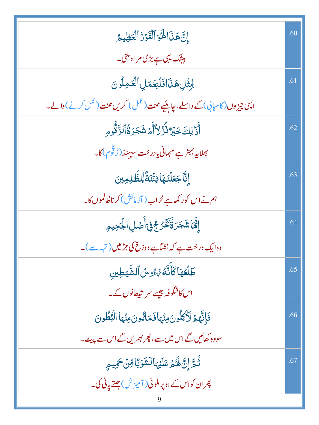| إِنَّ هَذَا لَهُوَ ٱلْفَوْرُ ٱلْعَظِيمُ                                      | .60 |
|------------------------------------------------------------------------------|-----|
| بیٹک یہی ہے بڑی مراد ملنی۔                                                   |     |
| لِمِثْلِ هَذَافَلَيَعُمَلِ ٱلْعَمِلُونَ                                      | .61 |
| ایسی چیز وں (کامیابی) کے واسطے، چاہئیے محنت (عمل) کریں محنت (عمل کرنے) والے۔ |     |
| ٲؘۮٙٳڸڮٙڿٙؽؚڒ۠ڐ۠ۯ۠ڵٲٲٙۿۺؘڿڗۊ۠ٲڶڗٙۜڐ۠ۅۄؚ                                      | .62 |
| <sup>س</sup> جلاپہ بہتر ہے مہمانی یادر خت سیہنڈ (زَقَوْم) کا۔                |     |
| إِنَّا جَعَلْنَهَا فِتُنَةَّ لِّلظَّلِمِينَ                                  | .63 |
| ہم نے اس کور کھاہے خراب ( آزمائش ) کرناظالموں کا۔                            |     |
| ٳ۪ڣؓۜٙٲۺؘؘٙٙٙڿؘۯۏۨ۠ٛػؘۘڂٛۯڿ؋ۣٲؘڞٙڸٱڶؙ۪ٙڮڝؚۄؚ                                 | .64 |
| وہ ایک درخت ہے کہ نکلتاہے دوزخ کی جڑمیں (تہرے)۔                              |     |
| طَلَعُهَا كَأَنَّهُ رُءُوسُ ٱلشَّيَطِينِ                                     | .65 |
| اس کاشگوفہ جیسے سر شیطانوں کے۔                                               |     |
| فَإِنَّهُمُ لَأَكْلُونَ هِنْهَافَمَالِونَ هِنْهَا ٱلْبُطُونَ                 | .66 |
| سووہ کھائیں گے اس میں سے، پھر بھریں گے اس سے پہیٹ۔                           |     |
| ثُمَّ إِنَّ لَهُمْ عَلَيْهَالشَّوْبَاقِنْ حَمِيمِ                            | .67 |
| پھران کواس کے اوپر ملونی (آمیزش) جلتے پانی کی۔                               |     |
|                                                                              |     |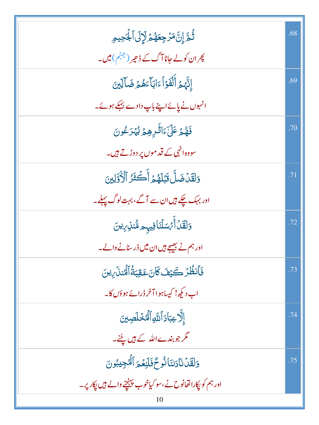| ڐؙٛۿٙٳؚڸ <i>ؾٞۜڡؘۯ۫ڿؚۼۿ۠</i> ۿڶٳڶٙڸٲۼؙؖڿؠۄؚ                   | .68 |
|---------------------------------------------------------------|-----|
| پھر ان کولے جانا آگ کے ڈھیر ( <sup>جہنم</sup> ) میں۔          |     |
| إِنَّهُمْ أَلْفَوْأَءَابَأَءَهُمَّ ضَالِّينَ                  | .69 |
| انہوں نے پائےاپنے باپ دادے بہکے ہوئے۔                         |     |
| فَهُمْ عَلَىٰٓءَاللَّٰٓدِهِمۡ يُّهۡرَعُونَ                    | .70 |
| سووہ انہی کے <b>قد</b> موں پر دوڑتے ہیں۔                      |     |
| وَلَقَدْضَلَّ قَبَٰلَهُمۡ أَكۡثَرُ ٱلۡأَوَّلِينَ              | .71 |
| اور بہک چکے ہیں ان سے آگے، بہت لوگ پہلے۔                      |     |
| وَلَقَلۡ أَمۡسَلۡنَافِیہِ هُنَّلِ ِیِنَ                       | .72 |
| اور ہم نے بھیجے ہیں ان میں ڈرسنانے والے۔                      |     |
| فَأَنظُرُ كَيْفَ كَانَ عَقِبَةُ ٱلْمُنذَرِينَ                 | .73 |
| اب دیکھ! کیساہوا آخر ڈرائے ہوؤں کا۔                           |     |
| إلَّا عِبَادَ ٱللَّهِ ٱلْمُخْلَصِينَ                          | .74 |
| گر جو بندےاللہ کے ہیں پجنے۔                                   |     |
| وَلَقَلْنَاكِنَانُوحٌفَلَنِعُمَ ٱلْمُجِيْدِنَ                 | .75 |
| اور ہم کو ایکاراتھانوح نے،سو کیاخوب پہنچنے والے ہیں ایکار پر۔ |     |
| 10                                                            |     |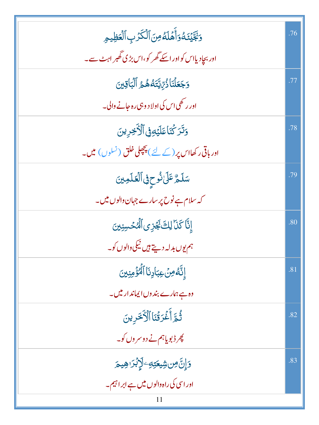| وَبَجَّيْنَهُوَأَهَلَهُ مِنَ ٱلْكَرْبِ ٱلْعَظِيمِ              | .76 |
|----------------------------------------------------------------|-----|
| اور بجاد پااس کواور اسکے گھر کو،اس بڑی گھبر اہٹ سے۔            |     |
| وَجَعَلْنَاذُرِّيَّتَهُ هُمُّ ٱلْبَاقِينَ                      | .77 |
| اور رکھی اس کی اولا د وہی رہ جانے والی۔                        |     |
| دَتَرَ كُنَاعَلَيْهِ فِى ٱلْأَخِرِينَ                          | .78 |
| اور باقی رکھااس پر (کے لئے) پچپلی خلق (نسلوں) میں۔             |     |
| سَلَمُّ عَلَىٰ ثُوحٍ فِى ٱلۡعَلَمِینَ                          | .79 |
| کہ سلام ہے نوح پر سارے جہان والوں میں۔                         |     |
| إِنَّا كَذَا لِكَ نَجُزِى ٱلْمُكْسِنِينَ                       | .80 |
| ہم یوں بدلہ دیتے ہیں نیکی والوں کو۔                            |     |
| إِنَّهُ مِنۡ عِبَادِنَا ٱلۡوَٰٓ مِنِينَ                        | .81 |
| وہ ہے ہمارے بند وں ایماند ار میں۔                              |     |
| ثُمَّ أَغْرَقْنَا ٱلْأَخَرِينَ                                 | .82 |
| پھر ڈبویاہم نے دوسر وں کو۔                                     |     |
| <b>ۯٳؚڷۣۜٙ؈ۺ۫ؠۘؗۘۘؾ</b> ؾؚۜڢ <sup>ۣ</sup> ڶٳ <i>ڋۮ</i> ڗۿٟۑؗؗ؏ | .83 |
| اور اسی کی راہ والوں میں ہے ابر ا <sup>ہ</sup> یم۔             |     |
| 11                                                             |     |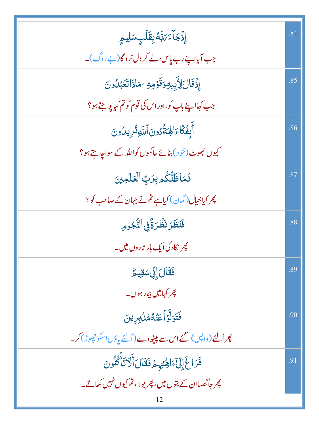| ٳؚۣۮ۬ڿؘۜٲۦۧ؆ڹؓڡ۠ڹؚڡؘۧڶٙٮؚؚؗڛڶؚؠۄؚ                           | .84 |
|-------------------------------------------------------------|-----|
| جب آیااپنے رب پاس، لے کر دل نروگا(پے روگ)۔                  |     |
| ٳؚۯ۬ۊؘٵڶڒػؚۑؚۑۅۊۊؘٶڥٷۿٵۮؘٳڷۼؘؠ۠ڷۅڹ                          | .85 |
| جب کہااپنے باپ کو،اور اس کی قوم کو تم کیایو جتے ہو؟         |     |
| أَبِفَكَّاءَالِهَةَّدُونَ أَللَّهِ ثُرِيدُونَ               | .86 |
| کیوں جھوٹ (خود) بنائے حاکموں کواللہ کے سواجاہتے ہو؟         |     |
| فَمَاظَنُّكُمْ بِرَبِّ ٱلۡعَلَمِينَ                         | .87 |
| پھر کیا خیال (گمان) کیاہے تم نے جہان کے صاحب کو؟            |     |
| فَنَظَرَ نَظْرَةًفِي ٱلنُّجُومِ                             | .88 |
| پھر نگاہ کی ایک بار تاروں میں۔                              |     |
| فَقَالَ إِنَّى سَقِيمٌ                                      | .89 |
| <i>پھر کہاییں بیمار ہوں۔</i>                                |     |
| فَتَوَلَّوۡاۡعَنۡهُمُّاۡبِرِينَ                             | .90 |
| پھرالٹے (واپس) گئے اس سے پیٹھ دے (اُلٹے پاؤں اسکو چھوڑ) کر۔ |     |
| فَرَاغَ إِلَىٰٓءَالِهِتِهِمۡ فَقَالَ أَلَاتَأَكُلُونَ       | .91 |
| پھر جاگھساان کے بتوں میں، پھر بولا، تم کیوں نہیں کھاتے۔     |     |
| 12                                                          |     |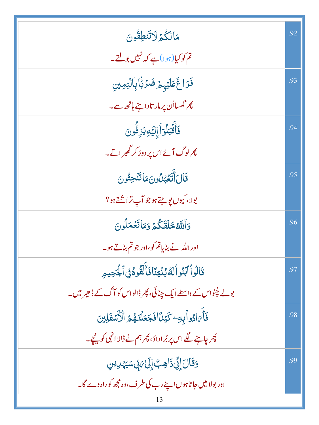| مَالكُمُ <sup>1</sup> لاتَنطِقُونَ                            | .92 |
|---------------------------------------------------------------|-----|
| تم کو کیا(ہوا)ہے کہ نہیں بولتے۔                               |     |
| فَرَاغَ عَلَيْهِمْ ضَرَبَٰٓابِٱلۡيَمِينِ                      | .93 |
| پھر گھسااُن پر مار تاداہنے ہاتھ سے۔                           |     |
| فَأَقَبَلُوٓاً إِلَيۡهِ يَزِفُّونَ                            | .94 |
| <u>کپرلوگ آئےاس پر دوڑ کر گھبر اتے۔</u>                       |     |
| قَالَ أَتَعُبُلُونَ مَاتَنَجِتُونَ                            | .95 |
| بولا، کيوں يوجتے ہوجو آپ تراشتے ہو؟                           |     |
| وَٱللَّهُ خَلَقَكُمۡ وَمَاتَعۡمَلُونَ                         | .96 |
| اور الله نے بنایاتم کو،اور جو تم بناتے ہو۔                    |     |
| قَالُواْ ٱبۡنُواۡلَهُ بُنۡيَنَاۚ فَأَلۡقُوهُ فِى ٱلۡجَٰحِيمِ  | .97 |
| بولے چُنواس کے واسطے ایک چنائی، پھر ڈالواس کو آگ کے ڈھیر میں۔ |     |
| فَأَىَادُواْبِهِ كَيْدًافَجَعَلْنَهُمُ ٱلْأَسْفَلِينَ         | .98 |
| پھر چاہنے لگے اس پر بُرادادَ، پھر ہم نے ڈالاانہی کو پنچے۔     |     |
| <u>و</u> َقَالَ إِنِّىٰذَاهِبَّ إِلَىٰٰٓ مَ تِّى سَيَہْدِينِ  | .99 |
| اور بولا میں جاتاہوں اپنے رب کی طرف،وہ مجھ کوراہ دے گا۔       |     |
|                                                               |     |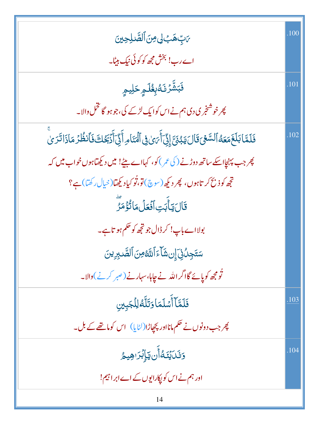| <i>؆</i> ٻِّ <i>هَٻُ لِي مِنَ ٱلصَّـٰلِحِينَ</i>                                                                 | .100 |
|------------------------------------------------------------------------------------------------------------------|------|
| اے رب! بخش مجھ کو کوئی نیک بیٹا۔                                                                                 |      |
| <b>فَبَشَّرۡتَـُبُولَـٰهِ حَلِيمِ</b>                                                                            | .101 |
| پھر خوشنجری دی ہم نے اس کوایک لڑکے گی، جو ہو گا تخل والا۔                                                        |      |
| فَلَمَّا بَلَغَمَعَهُ ٱلسَّعۡىَ قَالَ يَبۡنَىٰٓ إِنِّيَ أَيۡنَ لِٱلۡنَامِ أَنِّيۡ أَيۡنَٰٓ فَٱنظُرۡ مَاذَاتَرَىٰ | .102 |
| پھر جب پہنچااسکے ساتھ دوڑنے ( کی عمر ) کو، کہااے بیٹے! میں دیکھتاہوں خواب میں کہ                                 |      |
| تجھ کو ذبح کر تاہوں، پھر دیکھ(سوچ)اتو،تُو کیادیکھتا(خیال رکھتا)ہے؟                                               |      |
| قَالَ يَأْبَتِ ٱفۡعَلۡ مَاتُؤۡمَرۡ                                                                               |      |
| بولااے باپ! کر ڈال جو تجھ کو حکم ہو تاہے۔                                                                        |      |
| سَتَجِلُنِّ إِن شَأَءَ ٱللَّهُ مِنَ ٱلصَّـٰبِرِينَ                                                               |      |
| تُومجھ کوپائے گااگراللہ نے چاہا،سہارنے (ص <sub>بر</sub> کرنے)والا۔                                               |      |
| فَلَمَّآ أَشَلَمَاوَتَلَّهُ لِلۡجَبِينِ                                                                          | .103 |
| پھر جب دونوں نے حکم مانااور پچپاڑا(لٹایا) اس کوماتھے کے بل۔                                                      |      |
| <b>وَنَكَيِّنَكُ أَن يَبَائِزَا هِيمُ</b>                                                                        | .104 |
| اور ہم نے اس کو پکارایوں کے اے ابر اہیم!                                                                         |      |
|                                                                                                                  |      |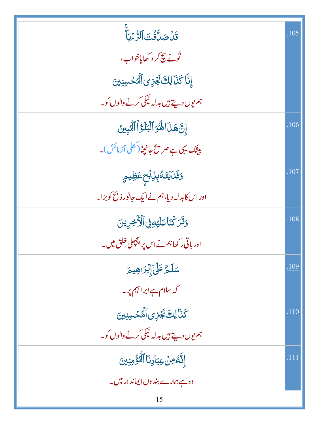| قَلۡصَلَّاقُتَ ٱلرُّءۡيَا                      | .105 |
|------------------------------------------------|------|
| نُونے پچ <i>کر</i> د کھایاخواب،                |      |
| إِنَّا كَنَا لِكَ نَجْزِى ٱلْمُحْسِنِينَ       |      |
| ہم یوں دیتے ہیں بدلہ نیکی کرنے والوں کو۔       |      |
| إِنَّ هَذَا لَهُوَ ٱلْبَلَؤُاْ ٱلْمُبِينُ      | .106 |
| بیٹک یہی ہے صر پیج جانچنا( کھلی آزمائش )۔      |      |
| <mark>وَفَلَايُنَ</mark> صُّبِوْبِبِمِعَظِيمٍ  | .107 |
| اور اس کابدلہ دیا، ہم نے ایک جانور ذبح کو بڑا۔ |      |
| دَتَرَ كُنَاعَلَيْهِ فِى ٱلْأَخِرِينَ          | .108 |
| اور باقی رکھاہم نے اس پر پچھلی خلق میں۔        |      |
| سَلَمُّ عَلَىٰٓإِبُرَاهِيمَ                    | .109 |
| کہ سلام ہے ابراہیم پر۔                         |      |
| كَذَا لِكَ نَجَزِى ٱلْمُحْسِنِينَ              | .110 |
| ہم یوں دیتے ہیں بدلہ نیکی کرنے والوں کو۔       |      |
| إِنَّهُ مِنْ عِبَادِنَا ٱلْمُؤْمِنِينَ         | .111 |
| وہ ہے ہمارے بند وں ایماند ار میں۔              |      |
| 15                                             |      |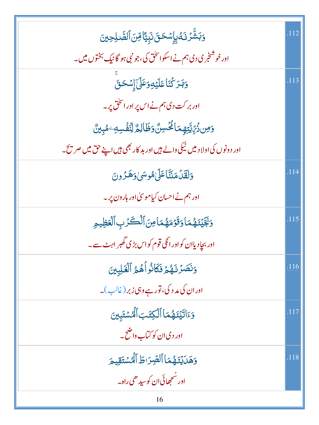| <u>ۅؘ</u> ڹۺ۠ؖۯٮ <i>ٙۮ۠ۑ</i> ٳؚ <i>ۺڂ</i> ؾؘٮ۬ڹؚؾٵٙڡؚۨڹٲڶڝۜ۠ڶؚڂۣؾ           | .112 |
|-----------------------------------------------------------------------------|------|
| اور خوشنجری دی ہم نے اسکو اسحٰق کی، جو نبی ہو گانیک بختوں میں۔              |      |
| <u>وَبَّدَ كُنَاعَلَيۡ</u> ۡوَعَلَىٰۤۚٳؚ <i>شَحَ</i> قَ                     | .113 |
| اور بر کت دی ہم نے اس پر اور اس <mark>حٰق</mark> پر۔                        |      |
| <u>و</u> َمِن ذُرِّيَّتِهِمَا ثُمُّسِنٌ وَظَالِمٌ لِنَّفۡسِهِۦ مُبِينٌ      |      |
| اور دونوں کی اولا دییں نیکی دالے ہیں اور بد کار بھی ہیں اپنے حق میں صر پیج۔ |      |
| وَلَقَلْ مَنَثَّا عَلَىٰ مُوسَىٰ وَهَـرُونَ                                 | .114 |
| اور ہم نے احسان کیاموسیٰ اور ہارون پر۔                                      |      |
| وَبَجَّيۡنَـٰهُمَاوَقَوۡمَهُمَامِنَ ٱلۡكَرۡبِ ٱلۡعَظِيمِ                    | .115 |
| اور بجاٍد یاان کواور انکی قوم کواس بڑی گھبر اہٹ سے۔                         |      |
| وَنَصَرُنَهُمُ فَكَانُواْهُمُ ٱلْغَلِبِينَ                                  | .116 |
| اور ان کی مد د کی، تور ہے وہی زبر (غالب)۔                                   |      |
| وَءَاتَيْنَهُمَا ٱلْكِتَبَ ٱلْمُسْتَبِينَ                                   | .117 |
| اور دی ان کو کتاب داضح۔                                                     |      |
| وَهَلَايَٰذَهُمَا ٱلصِّرَاطَ ٱلْهُسْتَقِيمَ                                 | .118 |
| اور سُحِھائی ان کوسیدھی راہ۔                                                |      |
| 16                                                                          |      |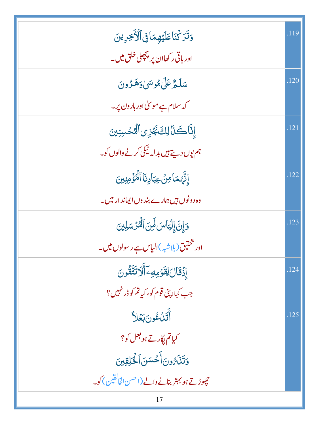| وَتَرَكَّنَاعَلَيْهِمَافِى ٱلْأَخِرِينَ                              | .119 |
|----------------------------------------------------------------------|------|
| اور باقی رکھاان پر پچھلی خلق میں۔                                    |      |
| سَلَّمُّ عَلَىٰ مُوسَىٰ وَهَزُونَ                                    | .120 |
| کہ سلام ہے موسیٰ اور ہارون پر۔                                       |      |
| إِنَّاكَنَا لِكَ نَجُزِى ٱلْمُحْسِنِينَ                              | .121 |
| ہم یوں دیتے ہیں بدلہ ٹیکی کرنے والوں کو۔                             |      |
| إِنَّهُمَامِنٌ عِبَادِنَا ٱلْمُؤْمِنِينَ                             | .122 |
| وہ دونوں ہیں ہمارے بند وں ایماند ار میں۔                             |      |
| وَإِنَّ إِلْيَاسَ لَمِنَ ٱلْمُرْسَلِينَ                              | .123 |
| اور شخ <del>تین(ب<sub>لاشبه</sub>)الیاس ہ</del> ے رسولوں <b>میں۔</b> |      |
| إِذْقَالَ لِقَوْمِهِ ۖ أَلَا تَتَّقُونَ                              | .124 |
| جب کہاا پنی قوم کو، کیاتم کو ڈرنہیں؟                                 |      |
| أَتَدْعُونَ بَعْلاً                                                  | .125 |
| کیاتم <sub>ل</sub> کار تے ہو بعل کو ؟                                |      |
| وَتَلَىُّ ونَ أَحۡسَنَ ٱلۡكَٰلِقِينَ                                 |      |
| حچ <i>ھوڑتے ہو بہتر</i> بنانے والے (احسن الخالقین) کو۔               |      |
| 17                                                                   |      |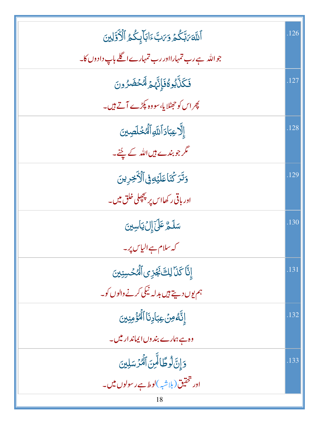| أَللَّهَ مَبَّكُمُ وَمَنَّ ءَابَأَبِكُمُ ٱلْأَوَّلِينَ | .126 |
|--------------------------------------------------------|------|
| جواللہ ہے رب تمہارااور رب تمہارے اگلے باپ دادوں کا۔    |      |
| فَكَلَّابُوهُ فَإِنَّهُمْ لَهُخْضَرُونَ                | .127 |
| پھر اس کو حہٹلا یا، سو وہ پکڑے آتے ہیں۔                |      |
| إِلَّا عِبَادَ ٱللَّهِ ٱلْمُخۡلَصِينَ                  | .128 |
| گر جو بندے ہیں اللہ کے لیجنے۔                          |      |
| وَتَرَكْنَاعَلَيْهِ فِى ٱلْأَخِرِينَ                   | .129 |
| اور باقی رکھااس پر پچچلی خلق میں۔                      |      |
| سَلَمُّ عَلَىٰٓإِلَٰٓ يَاسِينَ                         | .130 |
| کہ سلام ہے الیاس پر۔                                   |      |
| إِنَّا كَذَا لِكَ نَجُزِى ٱلْمُحْسِنِينَ               | .131 |
| ہم یوں دیتے ہیں بدلہ نیکی کرنے والوں کو۔               |      |
| إِنَّهُ مِنۡ عِبَادِنَا ٱلۡمُؤۡمِنِينَ                 | .132 |
| وہ ہے ہمارے بند وں ایماند اریکس۔                       |      |
| وَإِنَّ لُوطًا لِّينَ ٱلْمُرْسَلِينَ                   | .133 |
| اور څخ <mark>تيق (بلاشپه )لو ط ہے رسولوں میں۔</mark>   |      |
| 18                                                     |      |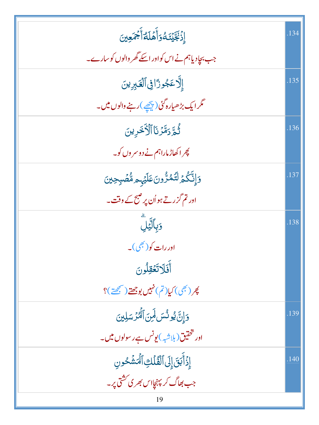| إِذَّبِّيَّتَهُوَأَهَلَهُ أَجْمَعِينَ               | .134 |
|-----------------------------------------------------|------|
| جب بجادیاہم نے اس کواور اسکے گھر والوں کو سارے۔     |      |
| إِلَّا عَجُوزًا فِي ٱلْغَيْرِينَ                    | .135 |
| مگر ایک بڑھیارہ گئی (پ <u>چھ</u> ے )رہنے والوں میں۔ |      |
| ثُمَّ رَمَّزَنَا ٱلْأَخَرِينَ                       | .136 |
| چرا کھاڑ ماراہم نے دوسر وں کو۔                      |      |
| وَإِنَّكُمۡ لَتَمُرُّونَ عَلَيۡہٖ؞ مُّصۡبِحِینَ     | .137 |
| ادر تم گزرتے ہواُن پر صبح کے وقت۔                   |      |
| وَبِٱلَّيۡلَ                                        | .138 |
| اور رات کو( <sup>بھی</sup> )۔                       |      |
| أَفَلَاتَعُقِلُونَ                                  |      |
| پُر (بھی) کیا(تم) نہیں بوجھتے (ص <u>بححۃ</u> )؟     |      |
| وَإِنَّ يُونُسَ لَمِنَ ٱلْمُرْسَلِينَ               | .139 |
| اور ت <mark>حقیق (بلاشبه)یونس ہے رسولوں میں۔</mark> |      |
| إِذَأَبَقَ إِلَى ٱلْقُلَكِ ٱلْمَشْحُونِ             | .140 |
| جب بھاگ کرپېنچااس بھر کی کشتی پر۔                   |      |
| 19                                                  |      |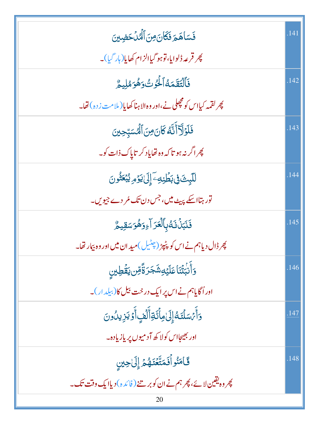| فَسَاهَمَ فَكَانَ مِنَ ٱلْمُدْحَضِينَ                                     | .141 |
|---------------------------------------------------------------------------|------|
| پھر قرعہ ڈلوایا،توہو گیاالزام کھایا(ہار گیا)۔                             |      |
| فَٱلۡتَقَمَهُٱلۡوَٰثُوَهُوَمُلِيمُّ                                       | .142 |
| پھر لقمہ کیااس کو مچھل نے،اور وہ الاہنا کھایا( ملامت زدہ) تھا۔            |      |
| فَلَوۡلَآأَنَّهُ كَانَ مِنَ ٱلۡمُسَبِّحِينَ                               | .143 |
| پھر اگر نہ ہو تا کہ وہ تھایاد کر تایاک ذات کو۔                            |      |
| للَّبِثَ فِي بَطَّنِهِ وَإِلَىٰ يَوۡمِ يُبۡعَثُونَ                        | .144 |
| تور ہتااسکے پہیٹ میں، جس دن تک مُر دے جیویں۔                              |      |
| فَنَبَنُ نَهُبِٱلۡعَرَآءِوَهُوَسَقِيمٌ                                    | .145 |
| چر ڈال دیاہم نے اس کو پٹپڑ (چٹیل)مید ان میں اور وہ بیار تھا۔              |      |
| <u>و</u> أَنۡبَٰتۡنَاۚ عَلَيۡهِ شَجَرَةًۚ مِّن يَقۡطِينِ                  | .146 |
| اوراُگایاہم نے اس پر ایک در خت بیل کا(بیلد ار)۔                           |      |
| وَأَمَّسَلَّنَـهُ إِلَىٰهِأَكَّةِأَلَّفٍأَوَّ يَزِيدُونَ                  | .147 |
| اور بھیجااس کولا کھ آدمیوں پر یازیادہ۔                                    |      |
| قَامَنُواْفَمَتَّعۡنَهُمۡ إِلَىٰحِينِ                                     | .148 |
| <u> پھروہ یقین لا ئے، پھر ہم نے ان کوبر سنے ( فائدہ ) دیاایک وقت تک ۔</u> |      |
| 20                                                                        |      |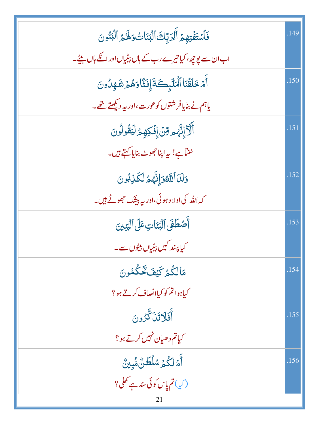| فَأَسْتَفْتِهِمْ أَلَرَبِّكَ ٱلْبَنَاتُ وَلَهُمُ ٱلْبَنُونَ   | .149 |
|---------------------------------------------------------------|------|
| اب ان سے یوچِہ ، کیا تیرے رب کے ہاں پیڈیاں اور انکے ہاں بیٹے۔ |      |
| أَمْ خَلَقْنَا ٱلْمَلَّبِكَةَ إِنَثَا دَهُمْ شَهِدُونَ        | .150 |
| یاہم نے بنایافر شتوں کوعورت،اور یہ دیکھتے تھے۔                |      |
| أَلَاَ إِنَّهُمْ مِّنَ إِفْكِهِمْ لَيَقُولُونَ                | .151 |
| سُناہے! یہ اپناحجوٹ بنایا کہتے ہیں۔                           |      |
| وَلَدَأَلَتَّهُ وَإِنَّهُمْ لَكَذِبُونَ                       | .152 |
| کہ اللہ کی اولا د ہوئی،اور پہ ہیٹنگ جھوٹے ہیں۔                |      |
| أَصْطَفَى ٱلۡبَنَاتِ عَلَى ٱلۡبَيۡبِنَ                        | .153 |
| کیاپسند کیں پیڈیاں بیٹوں سے۔                                  |      |
| مَالْكُمْ كَيْفَ تَحْكُمُونَ                                  | .154 |
| کیاہواتم کو کیاانصاف کرتے ہو؟                                 |      |
| أَفَلَاتَنَكَّرُونَ                                           | .155 |
| ۔<br>کیاتم دھیان نہیں کرتے ہو؟                                |      |
| ٲؘٙٙۿڶػۢؽٙۺڶڟٙڽ۠ۿ۠ۑؚؿ۠                                        | .156 |
| (کیا)تم پاس کوئی سند ہے تھل؟                                  |      |
| 21                                                            |      |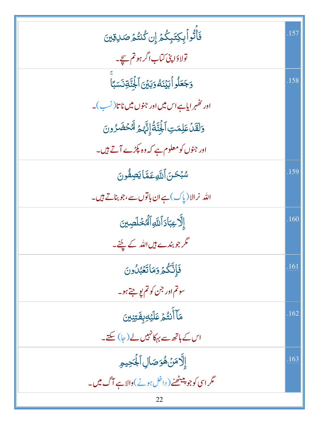| فَأَتُواْبِكِتَبِكُمْ إِن كُنتُمُ صَلاِقِينَ                       | .157 |
|--------------------------------------------------------------------|------|
| تولاؤا پنی کتاب اگر ہو تم سچے۔                                     |      |
| وَجَعَلُواۡآبَیۡنَهُوَبَیۡنَ ٱلۡجُنَّةِنَسَبَّا                    | .158 |
| اور ئھُہر ایاہے اس میں اور جنوں میں ناتا( نسب)۔                    |      |
| وَلَقَلْ عَلِمَتِ ٱلْجِنَّةُ إِنَّهُمْ لَهُ حُضَرُونَ              |      |
| اور جنوں کو معلوم ہے کہ وہ پکڑے آتے ہیں۔                           |      |
| سُبْحَنَ ٱللَّهِعَمَّا يَصِفُّونَ                                  | .159 |
| الله نرالا(یاک)ہےان باتوں سے،جو بناتے ہیں۔                         |      |
| إِلَّا عِبَادَ ٱللَّهِ ٱلْمُخْلَصِينَ                              | .160 |
| گر جو بندے ہیں اللہ کے لئے۔                                        |      |
| فَإِنَّكُمۡ وَمَاتَعۡبُلُونَ                                       | .161 |
| سوتم اور جن کو تم یو جتے ہو۔                                       |      |
| مَاۤأَنتُٰمۡ عَلَيۡ <i>ٰوِ</i> بِفَتِنِينَ                         | .162 |
| اس کے ہاتھ سے بہکانہیں لے (جا) سکتے۔                               |      |
| <b>إِلَّامَنۡهُوَصَالِٱلْجَٰحِيمِ</b>                              | .163 |
| مگر اسی کو جو پیٹ <u>ھ</u> نے ( داخل ہونے )والا ہے <b>آ</b> گ میں۔ |      |
|                                                                    |      |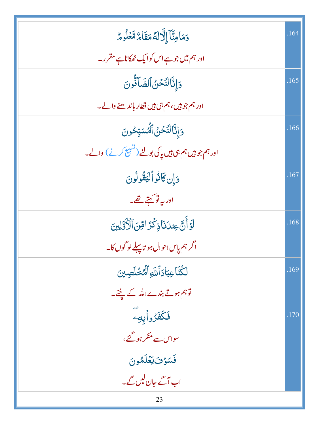| وَمَامِنَّآ إِلَّالَهُمَقَامٌ مَّعۡلُومٌ                | .164 |
|---------------------------------------------------------|------|
| اور ہم میں جو ہے اس کو ایک ٹھکاناہے مقرر۔               |      |
| وَإِنَّالتَّحْنُ ٱلصَّاَنُّونَ                          | .165 |
| اور ہم جو ہیں، ہم ہی ہیں قطار باند ھنے والے۔            |      |
| وَإِنَّالتَّحْنُ ٱلْمُسَبِّحُونَ                        | .166 |
| اور ہم جو ہیں ہم ہی ہیں یا کی بولنے (تسبیح کرنے ) والے۔ |      |
| وَإِن كَانُوالْيَقُولُونَ                               | .167 |
| ادر بہ تو <u>کہتے تھ</u> ے۔                             |      |
| لَوۡ أَنَّ عِندَنَاذِكْرَ اقِنَ ٱلۡأَوَّلِينَ           | .168 |
| اگر ہم پاس احوال ہو تاپہلے لو گوں کا۔                   |      |
| لِكُتَّا عِبَادَ ٱللَّهِ ٱلْمُخَلَّصِينَ                | .169 |
| توہم ہوتے بندےاللہ کے لچنے۔                             |      |
| فَكَفَرُواْبِهِۦ<br>فَكَفَرُواْبِهِۦ                    | .170 |
| سواس سے منکر ہو گئے،                                    |      |
| فَسَوْفَ يَعْلَمُونَ                                    |      |
| اب آگے جان لیں گے۔                                      |      |
| 23                                                      |      |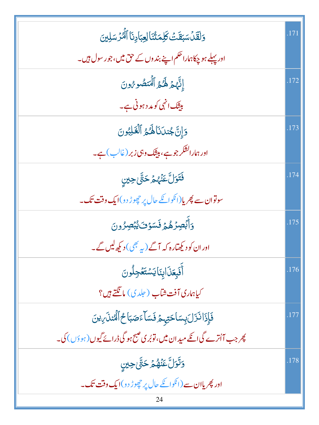| وَلَقَلْسَبَقَتْ كَلِمَتُنَا لِعِبَادِنَا ٱلْمُرْسَلِينَ                 | .171 |
|--------------------------------------------------------------------------|------|
| اور پہلے ہو چکاہاراحکم اپنے بند وں کے حق میں،جو رسول ہیں۔                |      |
| إِنَّهُمْ لَهُمُ ٱلْمُتَصُورُونَ                                         | .172 |
| بیٹک انہی کو مد د ہونی ہے۔                                               |      |
| دَإِنَّ جُندَنَا لَهُمُ ٱلْقَلِبُونَ                                     | .173 |
| اور ہمارالشکر جو ہے، ہیٹنگ وہی زبر (غالب ) ہے۔                           |      |
| فَتَوَلَّ عَنْهُمْ حَتَّى حِينِ                                          | .174 |
| سوتوان سے پھریا(ا <sup>نک</sup> وائلے حال پر چھوڑ دو) <b>ایک دقت تک۔</b> |      |
| وَأَبۡصِرۡهُمۡ فَسَوۡفَ يُبۡصِرُونَ                                      | .175 |
| اور ان کو دیکھتارہ کہ آگے ( یہ بھی ) دیکھ لیں گے۔                        |      |
| أفَبِعَذَابِنَايَسْتَعْجِلُونَ                                           | .176 |
| كياهاري آفت شآب ( جلدي) ما نَكَتے ہيں؟                                   |      |
| فَإِذَا نَزَلَ بِسَاحَتِهِمْ فَسَاءَصَبَاحُ ٱلْمُنلَىٰءَنَ               | .177 |
| پھر جب آاُترے گیا گے مید ان میں، توبُر ی صبح ہو گی ڈرائے گیوں (ہوؤں) کی۔ |      |
| <b>وَتَوَلَّ عَنْهُمْ حَتَّىٰ حِينِ</b>                                  | .178 |
| اور پھریاان سے (انگوائکے حال پر چھوڑ دو)ایک <b>وقت تک۔</b>               |      |
| 24                                                                       |      |